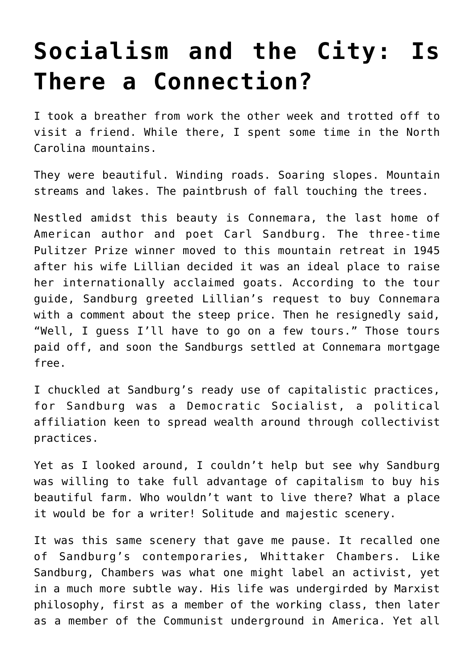## **[Socialism and the City: Is](https://intellectualtakeout.org/2019/10/socialism-and-the-city-is-there-a-connection/) [There a Connection?](https://intellectualtakeout.org/2019/10/socialism-and-the-city-is-there-a-connection/)**

I took a breather from work the other week and trotted off to visit a friend. While there, I spent some time in the North Carolina mountains.

They were beautiful. Winding roads. Soaring slopes. Mountain streams and lakes. The paintbrush of fall touching the trees.

Nestled amidst this beauty is Connemara, the last home of American author and poet Carl Sandburg. The three-time Pulitzer Prize winner moved to this mountain retreat in 1945 after his wife Lillian decided it was an ideal place to raise her internationally acclaimed goats. According to the tour guide, Sandburg greeted Lillian's request to buy Connemara with a comment about the steep price. Then he resignedly said, "Well, I guess I'll have to go on a few tours." Those tours paid off, and soon the Sandburgs settled at Connemara mortgage free.

I chuckled at Sandburg's ready use of capitalistic practices, for Sandburg was a Democratic Socialist, a political affiliation keen to spread wealth around through collectivist practices.

Yet as I looked around, I couldn't help but see why Sandburg was willing to take full advantage of capitalism to buy his beautiful farm. Who wouldn't want to live there? What a place it would be for a writer! Solitude and majestic scenery.

It was this same scenery that gave me pause. It recalled one of Sandburg's contemporaries, Whittaker Chambers. Like Sandburg, Chambers was what one might label an activist, yet in a much more subtle way. His life was undergirded by Marxist philosophy, first as a member of the working class, then later as a member of the Communist underground in America. Yet all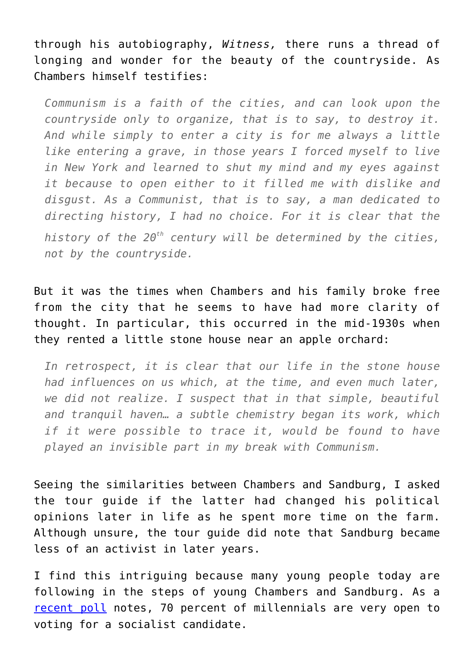through his autobiography, *Witness,* there runs a thread of longing and wonder for the beauty of the countryside. As Chambers himself testifies:

*Communism is a faith of the cities, and can look upon the countryside only to organize, that is to say, to destroy it. And while simply to enter a city is for me always a little like entering a grave, in those years I forced myself to live in New York and learned to shut my mind and my eyes against it because to open either to it filled me with dislike and disgust. As a Communist, that is to say, a man dedicated to directing history, I had no choice. For it is clear that the history of the 20th century will be determined by the cities, not by the countryside.*

But it was the times when Chambers and his family broke free from the city that he seems to have had more clarity of thought. In particular, this occurred in the mid-1930s when they rented a little stone house near an apple orchard:

*In retrospect, it is clear that our life in the stone house had influences on us which, at the time, and even much later, we did not realize. I suspect that in that simple, beautiful and tranquil haven… a subtle chemistry began its work, which if it were possible to trace it, would be found to have played an invisible part in my break with Communism.*

Seeing the similarities between Chambers and Sandburg, I asked the tour guide if the latter had changed his political opinions later in life as he spent more time on the farm. Although unsure, the tour guide did note that Sandburg became less of an activist in later years.

I find this intriguing because many young people today are following in the steps of young Chambers and Sandburg. As a [recent poll](https://www.victimsofcommunism.org/2019-annual-poll) notes, 70 percent of millennials are very open to voting for a socialist candidate.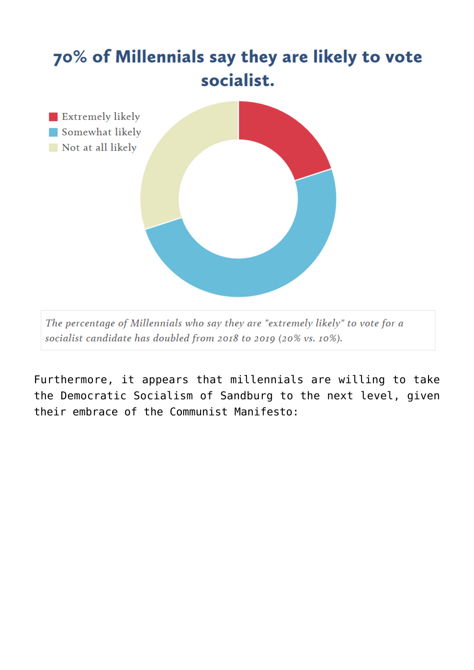

The percentage of Millennials who say they are "extremely likely" to vote for a socialist candidate has doubled from 2018 to 2019 (20% vs. 10%).

Furthermore, it appears that millennials are willing to take the Democratic Socialism of Sandburg to the next level, given their embrace of the Communist Manifesto: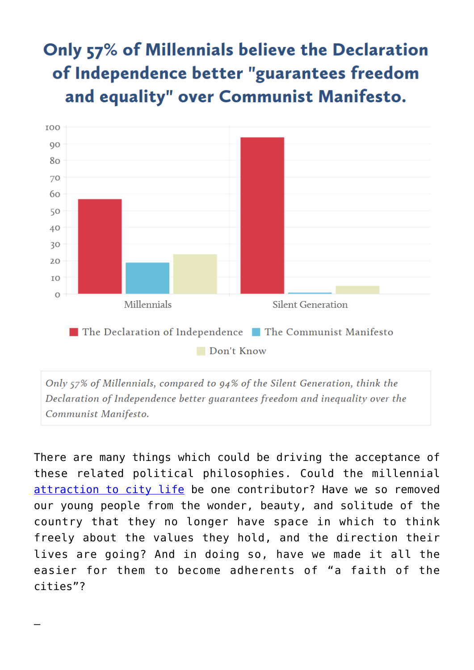## Only 57% of Millennials believe the Declaration of Independence better "guarantees freedom and equality" over Communist Manifesto.



Only 57% of Millennials, compared to 94% of the Silent Generation, think the Declaration of Independence better guarantees freedom and inequality over the Communist Manifesto.

There are many things which could be driving the acceptance of these related political philosophies. Could the millennial [attraction to city life](https://www.nielsen.com/us/en/insights/article/2014/millennials-prefer-cities-to-suburbs-subways-to-driveways/) be one contributor? Have we so removed our young people from the wonder, beauty, and solitude of the country that they no longer have space in which to think freely about the values they hold, and the direction their lives are going? And in doing so, have we made it all the easier for them to become adherents of "a faith of the cities"?

—